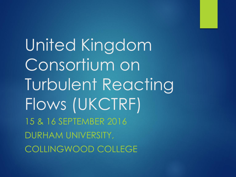United Kingdom Consortium on Turbulent Reacting Flows (UKCTRF) 15 & 16 SEPTEMBER 2016 DURHAM UNIVERSITY, COLLINGWOOD COLLEGE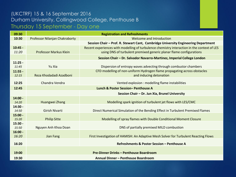## (UKCTRF) 15 & 16 September 2016 Durham University, Collingwood College, Penthouse B Thursday 15 September - Day one

| 09:30              | <b>Registration and Refreshments</b> |                                                                                             |
|--------------------|--------------------------------------|---------------------------------------------------------------------------------------------|
| 10:30              | Professor Nilanjan Chakraborty       | Welcome and Introduction                                                                    |
|                    |                                      | Session Chair - Prof. R. Stewart Cant, Cambridge University Engineering Department          |
| $10:45 -$          |                                      | Recent experiences with modelling of turbulence chemistry interaction in the context of LES |
| 11:20              | <b>Professor Markus Klein</b>        | using DNS of turbulent premixed generic planar flame configurations                         |
|                    |                                      | Session Chair - Dr. Salvador Navarro-Martinez, Imperial College London                      |
| $11:25 -$          |                                      |                                                                                             |
| 11:45              | Yu Xia                               | Dispersion of entropy waves advecting through combustor chambers                            |
| $11:55 -$          |                                      | CFD modelling of non-uniform Hydrogen flame propagating across obstacles                    |
| 12:15              | Reza Khodadadi Azadboni              | and inducing detonation                                                                     |
| 12:25              | Chandra Vendra                       | Vented explosion : modelling flame instabilities                                            |
| 12:45              |                                      | Lunch & Poster Session- Penthouse A                                                         |
|                    |                                      |                                                                                             |
|                    |                                      | Session Chair - Dr. Jun Xia, Brunel University                                              |
| $14:00 -$          |                                      |                                                                                             |
| 14:20              | Huangwei Zhang                       | Modelling spark ignition of turbulent jet flows with LES/CMC                                |
| $14:30 -$<br>14:50 | Girish Nivarti                       | Direct Numerical Simulation of the Bending Effect in Turbulent Premixed Flames              |
| $15:00 -$          |                                      |                                                                                             |
| 15:20              | <b>Philip Sitte</b>                  | Modelling of spray flames with Double Conditional Moment Closure                            |
| $15:30 -$          |                                      |                                                                                             |
| 15:50              | Nguyen Anh Khoa Doan                 | DNS of partially premixed MILD combustion                                                   |
| $16:00 -$          |                                      |                                                                                             |
| 16:20              | <b>Jian Fang</b>                     | First Investigation of HAMISH: An Adaptive Mesh Solver for Turbulent Reacting Flows         |
|                    |                                      | Refreshments & Poster Session - Penthouse A                                                 |
| 16:20              |                                      |                                                                                             |
| 19:00              |                                      | <b>Pre-Dinner Drinks - Penthouse Boardroom</b>                                              |
| 19:30              | Annual Dinner - Penthouse Boardroom  |                                                                                             |